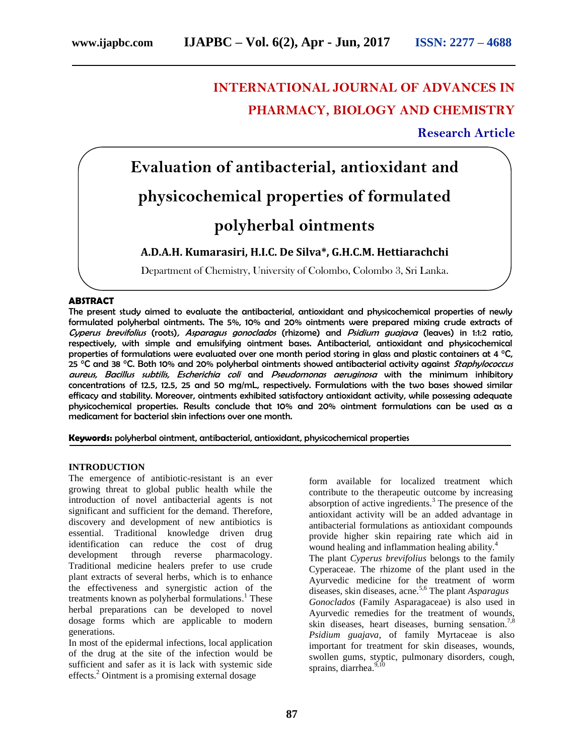# **INTERNATIONAL JOURNAL OF ADVANCES IN PHARMACY, BIOLOGY AND CHEMISTRY**

## **Research Article**

# **Evaluation of antibacterial, antioxidant and physicochemical properties of formulated polyherbal ointments**

### **A.D.A.H. Kumarasiri, H.I.C. De Silva\*, G.H.C.M. Hettiarachchi**

Department of Chemistry, University of Colombo, Colombo 3, Sri Lanka.

#### **ABSTRACT**

The present study aimed to evaluate the antibacterial, antioxidant and physicochemical properties of newly formulated polyherbal ointments. The 5%, 10% and 20% ointments were prepared mixing crude extracts of Cyperus brevifolius (roots), Asparagus gonoclados (rhizome) and Psidium guajava (leaves) in 1:1:2 ratio, respectively, with simple and emulsifying ointment bases. Antibacterial, antioxidant and physicochemical properties of formulations were evaluated over one month period storing in glass and plastic containers at 4  $\degree$ C, 25 °C and 38 °C. Both 10% and 20% polyherbal ointments showed antibacterial activity against *Staphylococcus* aureus, Bacillus subtilis, Escherichia coli and Pseudomonas aeruginosa with the minimum inhibitory concentrations of 12.5, 12.5, 25 and 50 mg/mL, respectively. Formulations with the two bases showed similar efficacy and stability. Moreover, ointments exhibited satisfactory antioxidant activity, while possessing adequate physicochemical properties. Results conclude that 10% and 20% ointment formulations can be used as a medicament for bacterial skin infections over one month.

**Keywords:** polyherbal ointment, antibacterial, antioxidant, physicochemical properties

#### **INTRODUCTION**

The emergence of antibiotic-resistant is an ever growing threat to global public health while the introduction of novel antibacterial agents is not significant and sufficient for the demand. Therefore, discovery and development of new antibiotics is essential. Traditional knowledge driven drug identification can reduce the cost of drug development through reverse pharmacology. Traditional medicine healers prefer to use crude plant extracts of several herbs, which is to enhance the effectiveness and synergistic action of the treatments known as polyherbal formulations. <sup>1</sup> These herbal preparations can be developed to novel dosage forms which are applicable to modern generations.

In most of the epidermal infections, local application of the drug at the site of the infection would be sufficient and safer as it is lack with systemic side effects.<sup>2</sup> Ointment is a promising external dosage

form available for localized treatment which contribute to the therapeutic outcome by increasing absorption of active ingredients.<sup>3</sup> The presence of the antioxidant activity will be an added advantage in antibacterial formulations as antioxidant compounds provide higher skin repairing rate which aid in wound healing and inflammation healing ability.<sup>4</sup> The plant *Cyperus brevifolius* belongs to the family Cyperaceae. The rhizome of the plant used in the Ayurvedic medicine for the treatment of worm diseases, skin diseases, acne.5,6 The plant *Asparagus Gonoclados* (Family Asparagaceae) is also used in Ayurvedic remedies for the treatment of wounds, skin diseases, heart diseases, burning sensation.<sup>7,8</sup> *Psidium guajava,* of family Myrtaceae is also important for treatment for skin diseases, wounds, swollen gums, styptic, pulmonary disorders, cough, sprains, diarrhea.<sup>9,10</sup>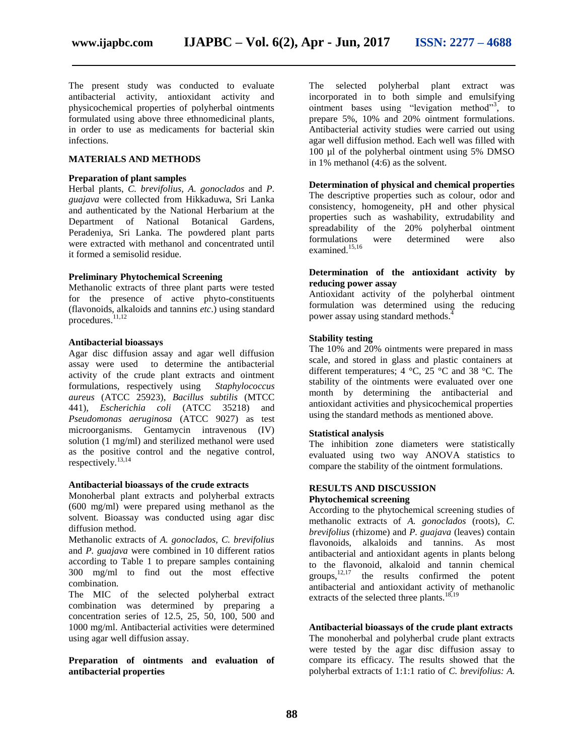The present study was conducted to evaluate antibacterial activity, antioxidant activity and physicochemical properties of polyherbal ointments formulated using above three ethnomedicinal plants, in order to use as medicaments for bacterial skin infections.

#### **MATERIALS AND METHODS**

#### **Preparation of plant samples**

Herbal plants, *C. brevifolius, A. gonoclados* and *P. guajava* were collected from Hikkaduwa, Sri Lanka and authenticated by the National Herbarium at the Department of National Botanical Gardens, Peradeniya, Sri Lanka. The powdered plant parts were extracted with methanol and concentrated until it formed a semisolid residue.

#### **Preliminary Phytochemical Screening**

Methanolic extracts of three plant parts were tested for the presence of active phyto-constituents (flavonoids, alkaloids and tannins *etc*.) using standard procedures.<sup>11,12</sup>

#### **Antibacterial bioassays**

Agar disc diffusion assay and agar well diffusion assay were used to determine the antibacterial activity of the crude plant extracts and ointment formulations, respectively using *Staphylococcus aureus* (ATCC 25923), *Bacillus subtilis* (MTCC 441)*, Escherichia coli* (ATCC 35218) and *Pseudomonas aeruginosa* (ATCC 9027) as test microorganisms. Gentamycin intravenous (IV) solution (1 mg/ml) and sterilized methanol were used as the positive control and the negative control, respectively.13,14

#### **Antibacterial bioassays of the crude extracts**

Monoherbal plant extracts and polyherbal extracts (600 mg/ml) were prepared using methanol as the solvent. Bioassay was conducted using agar disc diffusion method.

Methanolic extracts of *A. gonoclados, C. brevifolius* and *P. guajava* were combined in 10 different ratios according to Table 1 to prepare samples containing 300 mg/ml to find out the most effective combination.

The MIC of the selected polyherbal extract combination was determined by preparing a concentration series of 12.5, 25, 50, 100, 500 and 1000 mg/ml. Antibacterial activities were determined using agar well diffusion assay.

#### **Preparation of ointments and evaluation of antibacterial properties**

The selected polyherbal plant extract was incorporated in to both simple and emulsifying ointment bases using "levigation method"<sup>3</sup>, to prepare 5%, 10% and 20% ointment formulations. Antibacterial activity studies were carried out using agar well diffusion method. Each well was filled with 100 µl of the polyherbal ointment using 5% DMSO in 1% methanol (4:6) as the solvent.

#### **Determination of physical and chemical properties**

The descriptive properties such as colour, odor and consistency, homogeneity, pH and other physical properties such as washability, extrudability and spreadability of the 20% polyherbal ointment formulations were determined were also examined. 15,16

#### **Determination of the antioxidant activity by reducing power assay**

Antioxidant activity of the polyherbal ointment formulation was determined using the reducing power assay using standard methods.<sup>4</sup>

#### **Stability testing**

The 10% and 20% ointments were prepared in mass scale, and stored in glass and plastic containers at different temperatures; 4  $^{\circ}$ C, 25  $^{\circ}$ C and 38  $^{\circ}$ C. The stability of the ointments were evaluated over one month by determining the antibacterial and antioxidant activities and physicochemical properties using the standard methods as mentioned above.

#### **Statistical analysis**

The inhibition zone diameters were statistically evaluated using two way ANOVA statistics to compare the stability of the ointment formulations.

#### **RESULTS AND DISCUSSION**

#### **Phytochemical screening**

According to the phytochemical screening studies of methanolic extracts of *A. gonoclados* (roots)*, C. brevifolius* (rhizome) and *P. guajava* (leaves) contain flavonoids, alkaloids and tannins. As most antibacterial and antioxidant agents in plants belong to the flavonoid, alkaloid and tannin chemical groups,  $12,17$  the results confirmed the potent antibacterial and antioxidant activity of methanolic extracts of the selected three plants.<sup>18,19</sup>

#### **Antibacterial bioassays of the crude plant extracts**

The monoherbal and polyherbal crude plant extracts were tested by the agar disc diffusion assay to compare its efficacy. The results showed that the polyherbal extracts of 1:1:1 ratio of *C. brevifolius: A.*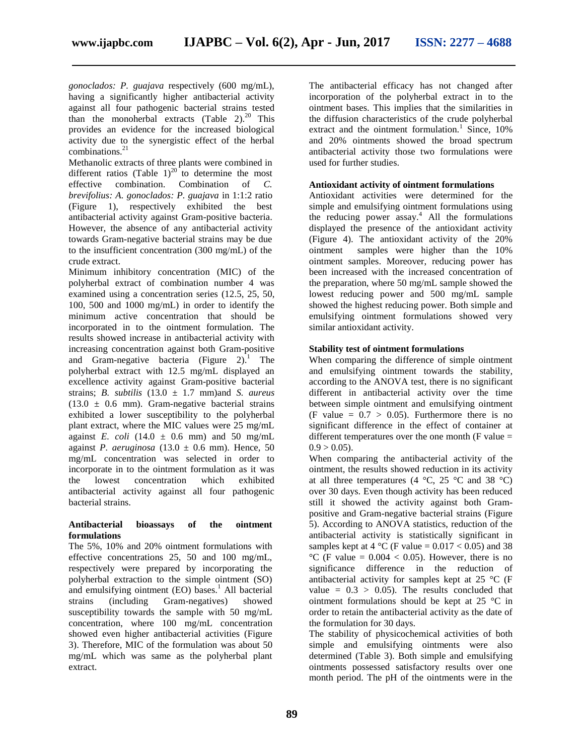*gonoclados: P. guajava* respectively (600 mg/mL), having a significantly higher antibacterial activity against all four pathogenic bacterial strains tested than the monoherbal extracts (Table  $2)^{20}$  This provides an evidence for the increased biological activity due to the synergistic effect of the herbal combinations. 21

Methanolic extracts of three plants were combined in different ratios (Table 1)<sup>20</sup> to determine the most effective combination. Combination of *C. brevifolius: A. gonoclados: P. guajava* in 1:1:2 ratio (Figure 1), respectively exhibited the best antibacterial activity against Gram-positive bacteria. However, the absence of any antibacterial activity towards Gram-negative bacterial strains may be due to the insufficient concentration (300 mg/mL) of the crude extract.

Minimum inhibitory concentration (MIC) of the polyherbal extract of combination number 4 was examined using a concentration series (12.5, 25, 50, 100, 500 and 1000 mg/mL) in order to identify the minimum active concentration that should be incorporated in to the ointment formulation. The results showed increase in antibacterial activity with increasing concentration against both Gram-positive and Gram-negative bacteria (Figure 2).<sup>1</sup> The polyherbal extract with 12.5 mg/mL displayed an excellence activity against Gram-positive bacterial strains; *B. subtilis* (13.0 ± 1.7 mm)and *S. aureus*  $(13.0 \pm 0.6 \text{ mm})$ . Gram-negative bacterial strains exhibited a lower susceptibility to the polyherbal plant extract, where the MIC values were 25 mg/mL against *E. coli* (14.0  $\pm$  0.6 mm) and 50 mg/mL against *P. aeruginosa*  $(13.0 \pm 0.6 \text{ mm})$ . Hence, 50 mg/mL concentration was selected in order to incorporate in to the ointment formulation as it was the lowest concentration which exhibited antibacterial activity against all four pathogenic bacterial strains.

#### **Antibacterial bioassays of the ointment formulations**

The 5%, 10% and 20% ointment formulations with effective concentrations 25, 50 and 100 mg/mL, respectively were prepared by incorporating the polyherbal extraction to the simple ointment (SO) and emulsifying ointment  $(EO)$  bases.<sup>1</sup> All bacterial strains (including Gram-negatives) showed susceptibility towards the sample with 50 mg/mL concentration, where 100 mg/mL concentration showed even higher antibacterial activities (Figure 3). Therefore, MIC of the formulation was about 50 mg/mL which was same as the polyherbal plant extract.

The antibacterial efficacy has not changed after incorporation of the polyherbal extract in to the ointment bases. This implies that the similarities in the diffusion characteristics of the crude polyherbal extract and the ointment formulation.<sup>1</sup> Since,  $10\%$ and 20% ointments showed the broad spectrum antibacterial activity those two formulations were used for further studies.

#### **Antioxidant activity of ointment formulations**

Antioxidant activities were determined for the simple and emulsifying ointment formulations using the reducing power  $\operatorname{assay}$ <sup>4</sup> All the formulations displayed the presence of the antioxidant activity (Figure 4). The antioxidant activity of the 20% ointment samples were higher than the 10% ointment samples. Moreover, reducing power has been increased with the increased concentration of the preparation, where 50 mg/mL sample showed the lowest reducing power and 500 mg/mL sample showed the highest reducing power. Both simple and emulsifying ointment formulations showed very similar antioxidant activity.

#### **Stability test of ointment formulations**

When comparing the difference of simple ointment and emulsifying ointment towards the stability, according to the ANOVA test, there is no significant different in antibacterial activity over the time between simple ointment and emulsifying ointment (F value  $= 0.7 > 0.05$ ). Furthermore there is no significant difference in the effect of container at different temperatures over the one month  $(F \text{ value} =$  $0.9 > 0.05$ ).

When comparing the antibacterial activity of the ointment, the results showed reduction in its activity at all three temperatures (4  $^{\circ}$ C, 25  $^{\circ}$ C and 38  $^{\circ}$ C) over 30 days. Even though activity has been reduced still it showed the activity against both Grampositive and Gram-negative bacterial strains (Figure 5). According to ANOVA statistics, reduction of the antibacterial activity is statistically significant in samples kept at 4  $^{\circ}$ C (F value = 0.017 < 0.05) and 38 °C (F value =  $0.004 < 0.05$ ). However, there is no significance difference in the reduction of antibacterial activity for samples kept at 25 °C (F value  $= 0.3 > 0.05$ . The results concluded that ointment formulations should be kept at 25 °C in order to retain the antibacterial activity as the date of the formulation for 30 days.

The stability of physicochemical activities of both simple and emulsifying ointments were also determined (Table 3). Both simple and emulsifying ointments possessed satisfactory results over one month period. The pH of the ointments were in the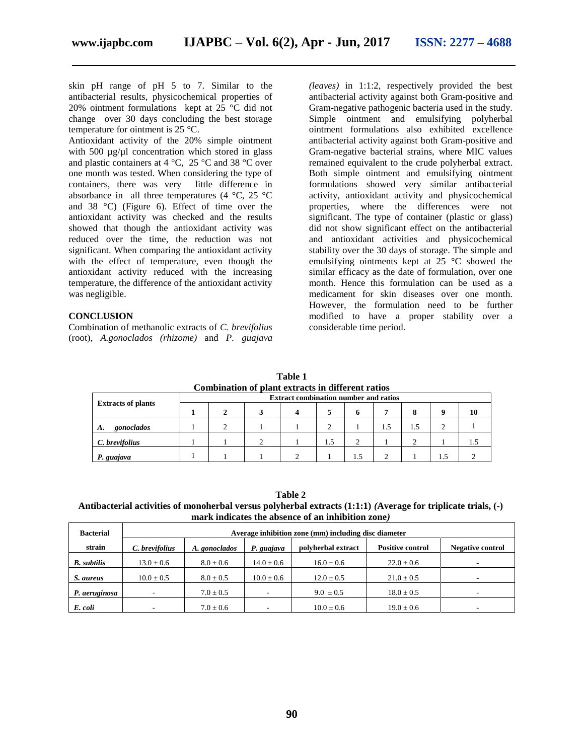skin pH range of pH 5 to 7. Similar to the antibacterial results, physicochemical properties of 20% ointment formulations kept at 25 °C did not change over 30 days concluding the best storage temperature for ointment is 25 °C.

Antioxidant activity of the 20% simple ointment with 500  $\mu$ g/ $\mu$ l concentration which stored in glass and plastic containers at 4 °C, 25 °C and 38 °C over one month was tested. When considering the type of containers, there was very little difference in absorbance in all three temperatures (4  $\degree$ C, 25  $\degree$ C and 38 °C) (Figure 6). Effect of time over the antioxidant activity was checked and the results showed that though the antioxidant activity was reduced over the time, the reduction was not significant. When comparing the antioxidant activity with the effect of temperature, even though the antioxidant activity reduced with the increasing temperature, the difference of the antioxidant activity was negligible.

#### **CONCLUSION**

Combination of methanolic extracts of *C. brevifolius*  (root)*, A.gonoclados (rhizome)* and *P. guajava* 

*(leaves)* in 1:1:2, respectively provided the best antibacterial activity against both Gram-positive and Gram-negative pathogenic bacteria used in the study. Simple ointment and emulsifying polyherbal ointment formulations also exhibited excellence antibacterial activity against both Gram-positive and Gram-negative bacterial strains, where MIC values remained equivalent to the crude polyherbal extract. Both simple ointment and emulsifying ointment formulations showed very similar antibacterial activity, antioxidant activity and physicochemical properties, where the differences were not significant. The type of container (plastic or glass) did not show significant effect on the antibacterial and antioxidant activities and physicochemical stability over the 30 days of storage. The simple and emulsifying ointments kept at 25 °C showed the similar efficacy as the date of formulation, over one month. Hence this formulation can be used as a medicament for skin diseases over one month. However, the formulation need to be further modified to have a proper stability over a considerable time period.

**Table 1 Combination of plant extracts in different ratios**

| Comomation of plant extracts in unicrent ratios |                                              |  |  |  |     |     |     |     |     |     |
|-------------------------------------------------|----------------------------------------------|--|--|--|-----|-----|-----|-----|-----|-----|
| <b>Extracts of plants</b>                       | <b>Extract combination number and ratios</b> |  |  |  |     |     |     |     |     |     |
|                                                 |                                              |  |  |  |     |     |     |     |     | 10  |
| gonoclados<br>А.                                |                                              |  |  |  |     |     | 1.5 | 1.5 |     |     |
| C. brevifolius                                  |                                              |  |  |  | 1.5 |     |     |     |     | L.5 |
| P. guajava                                      |                                              |  |  |  |     | 1.5 |     |     | 1.5 |     |

**Table 2**

**Antibacterial activities of monoherbal versus polyherbal extracts (1:1:1)** *(***Average for triplicate trials, (-) mark indicates the absence of an inhibition zone***)*

| <b>Bacterial</b>   | Average inhibition zone (mm) including disc diameter |               |                          |                    |                         |                         |  |
|--------------------|------------------------------------------------------|---------------|--------------------------|--------------------|-------------------------|-------------------------|--|
| strain             | C. brevifolius                                       | A. gonoclados | P. guajava               | polyherbal extract | <b>Positive control</b> | <b>Negative control</b> |  |
| <b>B.</b> subtilis | $13.0 \pm 0.6$                                       | $8.0 \pm 0.6$ | $14.0 \pm 0.6$           | $16.0 \pm 0.6$     | $22.0 \pm 0.6$          | -                       |  |
| S. aureus          | $10.0 \pm 0.5$                                       | $8.0 \pm 0.5$ | $10.0 \pm 0.6$           | $12.0 \pm 0.5$     | $21.0 \pm 0.5$          |                         |  |
| P. aeruginosa      | $\overline{\phantom{a}}$                             | $7.0 \pm 0.5$ | $\overline{\phantom{a}}$ | $9.0 \pm 0.5$      | $18.0 \pm 0.5$          | -                       |  |
| E. coli            | ۰                                                    | $7.0 \pm 0.6$ | $\overline{\phantom{0}}$ | $10.0 \pm 0.6$     | $19.0 \pm 0.6$          | -                       |  |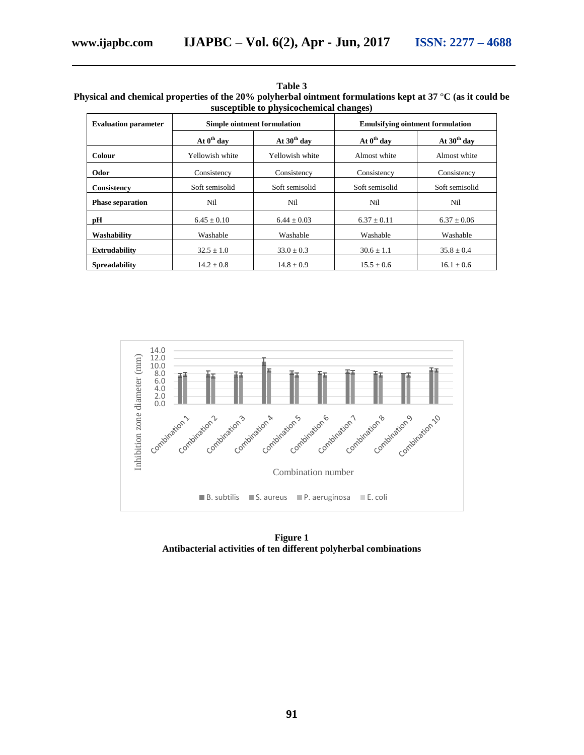| Table 3                                                                                                    |
|------------------------------------------------------------------------------------------------------------|
| Physical and chemical properties of the 20% polyherbal ointment formulations kept at 37 °C (as it could be |
| susceptible to physicochemical changes)                                                                    |

| <b>Evaluation parameter</b> |                        | <b>Simple ointment formulation</b> | <b>Emulsifying ointment formulation</b> |                |  |  |
|-----------------------------|------------------------|------------------------------------|-----------------------------------------|----------------|--|--|
|                             | At $0^{\text{th}}$ day | At $30th$ day                      | At $0^{\text{th}}$ day                  | At $30th$ day  |  |  |
| Colour                      | Yellowish white        | Yellowish white                    | Almost white                            | Almost white   |  |  |
| Odor                        | Consistency            | Consistency                        | Consistency                             | Consistency    |  |  |
| <b>Consistency</b>          | Soft semisolid         | Soft semisolid                     | Soft semisolid                          | Soft semisolid |  |  |
| <b>Phase separation</b>     | Nil                    | Nil                                | Nil                                     | Nil            |  |  |
| рH                          | $6.45 + 0.10$          | $6.44 + 0.03$                      | $6.37 + 0.11$                           | $6.37 + 0.06$  |  |  |
| Washability                 | Washable               | Washable                           | Washable                                | Washable       |  |  |
| <b>Extrudability</b>        | $32.5 + 1.0$           | $33.0 + 0.3$                       | $30.6 + 1.1$                            | $35.8 \pm 0.4$ |  |  |
| <b>Spreadability</b>        | $14.2 + 0.8$           | $14.8 + 0.9$                       | $15.5 + 0.6$                            | $16.1 + 0.6$   |  |  |



**Figure 1 Antibacterial activities of ten different polyherbal combinations**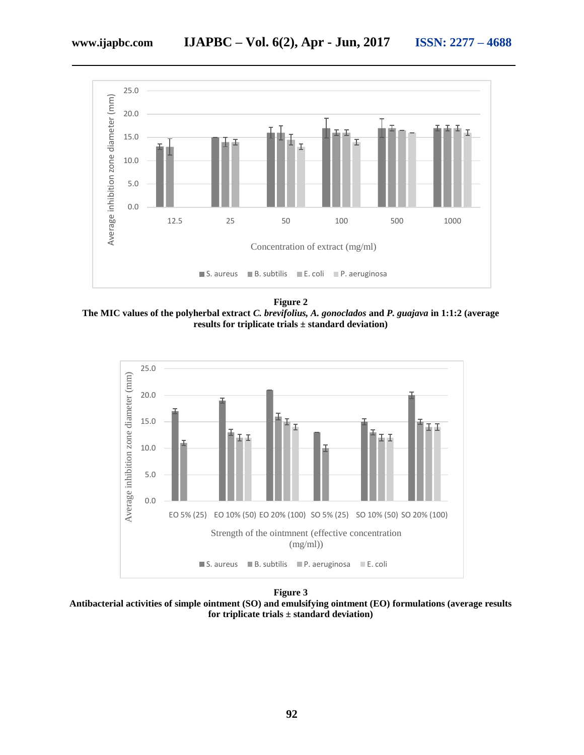

**Figure 2 The MIC values of the polyherbal extract** *C. brevifolius, A. gonoclados* **and** *P. guajava* **in 1:1:2 (average results for triplicate trials ± standard deviation)**



**Figure 3**

**Antibacterial activities of simple ointment (SO) and emulsifying ointment (EO) formulations (average results for triplicate trials ± standard deviation)**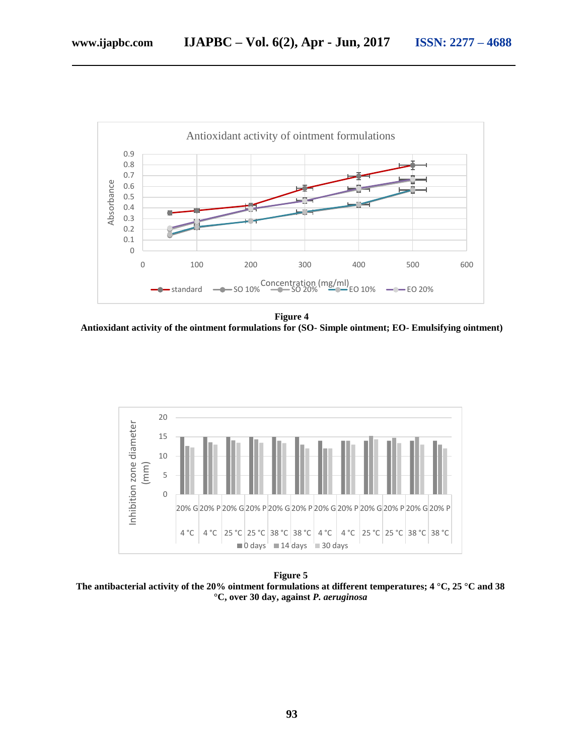

**Figure 4 Antioxidant activity of the ointment formulations for (SO- Simple ointment; EO- Emulsifying ointment)**



**Figure 5 The antibacterial activity of the 20% ointment formulations at different temperatures; 4 °C, 25 °C and 38 °C, over 30 day, against** *P. aeruginosa*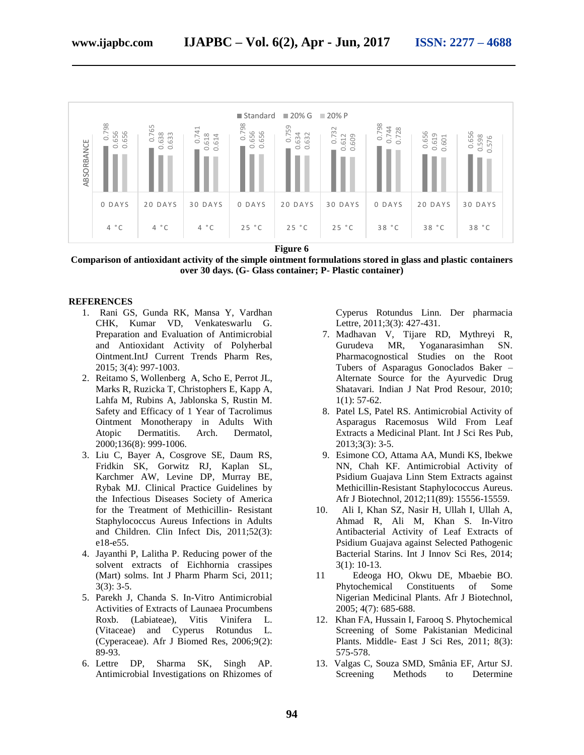

**Figure 6**

**Comparison of antioxidant activity of the simple ointment formulations stored in glass and plastic containers over 30 days. (G- Glass container; P- Plastic container)**

#### **REFERENCES**

- 1. Rani GS, Gunda RK, Mansa Y, Vardhan CHK, Kumar VD, Venkateswarlu G. Preparation and Evaluation of Antimicrobial and Antioxidant Activity of Polyherbal Ointment.IntJ Current Trends Pharm Res, 2015; 3(4): 997-1003.
- 2. Reitamo S, Wollenberg A, Scho E, Perrot JL, Marks R, Ruzicka T, Christophers E, Kapp A, Lahfa M, Rubins A, Jablonska S, Rustin M. Safety and Efficacy of 1 Year of Tacrolimus Ointment Monotherapy in Adults With Atopic Dermatitis. Arch. Dermatol, 2000;136(8): 999-1006.
- 3. Liu C, Bayer A, Cosgrove SE, Daum RS, Fridkin SK, Gorwitz RJ, Kaplan SL, Karchmer AW, Levine DP, Murray BE, Rybak MJ. Clinical Practice Guidelines by the Infectious Diseases Society of America for the Treatment of Methicillin- Resistant Staphylococcus Aureus Infections in Adults and Children. Clin Infect Dis, 2011;52(3): e18-e55.
- 4. Jayanthi P, Lalitha P. Reducing power of the solvent extracts of Eichhornia crassipes (Mart) solms. Int J Pharm Pharm Sci, 2011;  $3(3)$ : 3-5.
- 5. Parekh J, Chanda S. In-Vitro Antimicrobial Activities of Extracts of Launaea Procumbens Roxb. (Labiateae), Vitis Vinifera L. (Vitaceae) and Cyperus Rotundus L. (Cyperaceae). Afr J Biomed Res, 2006;9(2): 89-93.
- 6. Lettre DP, Sharma SK, Singh AP. Antimicrobial Investigations on Rhizomes of

Cyperus Rotundus Linn. Der pharmacia Lettre, 2011;3(3): 427-431.

- 7. Madhavan V, Tijare RD, Mythreyi R, Gurudeva MR, Yoganarasimhan SN. Pharmacognostical Studies on the Root Tubers of Asparagus Gonoclados Baker – Alternate Source for the Ayurvedic Drug Shatavari. Indian J Nat Prod Resour, 2010;  $1(1): 57-62.$
- 8. Patel LS, Patel RS. Antimicrobial Activity of Asparagus Racemosus Wild From Leaf Extracts a Medicinal Plant. Int J Sci Res Pub, 2013;3(3): 3-5.
- 9. Esimone CO, Attama AA, Mundi KS, Ibekwe NN, Chah KF. Antimicrobial Activity of Psidium Guajava Linn Stem Extracts against Methicillin-Resistant Staphylococcus Aureus. Afr J Biotechnol, 2012;11(89): 15556-15559.
- 10. Ali I, Khan SZ, Nasir H, Ullah I, Ullah A, Ahmad R, Ali M, Khan S. In-Vitro Antibacterial Activity of Leaf Extracts of Psidium Guajava against Selected Pathogenic Bacterial Starins. Int J Innov Sci Res, 2014; 3(1): 10-13.
- 11 Edeoga HO, Okwu DE, Mbaebie BO. Phytochemical Constituents of Some Nigerian Medicinal Plants. Afr J Biotechnol, 2005; 4(7): 685-688.
- 12. Khan FA, Hussain I, Farooq S. Phytochemical Screening of Some Pakistanian Medicinal Plants. Middle- East J Sci Res, 2011; 8(3): 575-578.
- 13. Valgas C, Souza SMD, Smânia EF, Artur SJ. Screening Methods to Determine